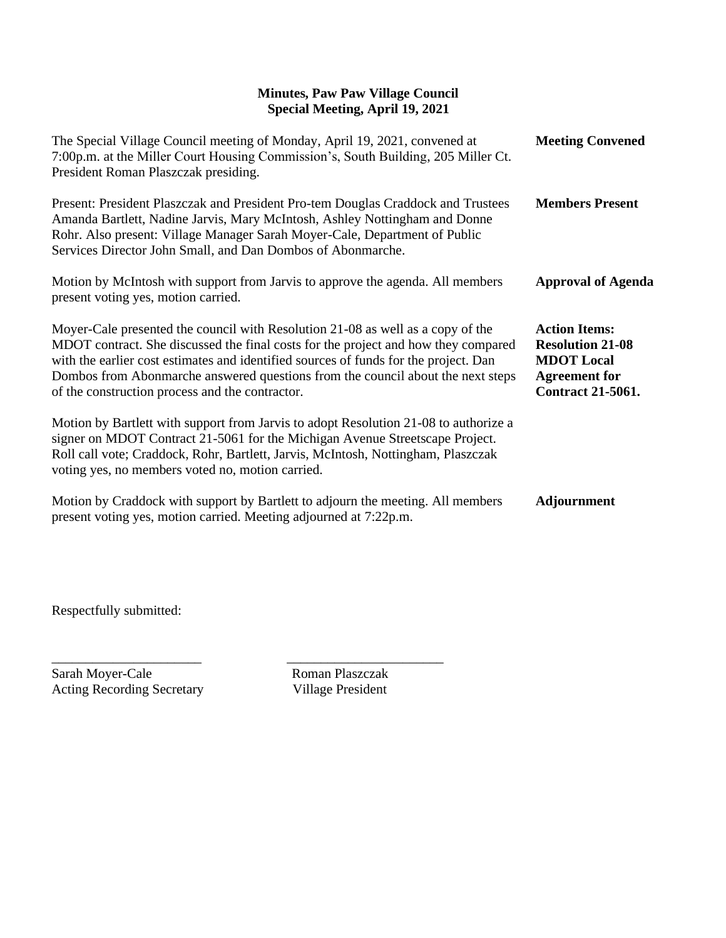## **Minutes, Paw Paw Village Council Special Meeting, April 19, 2021**

| The Special Village Council meeting of Monday, April 19, 2021, convened at<br>7:00p.m. at the Miller Court Housing Commission's, South Building, 205 Miller Ct.<br>President Roman Plaszczak presiding.                                                                                                                                                                                             | <b>Meeting Convened</b>                                                                                                  |
|-----------------------------------------------------------------------------------------------------------------------------------------------------------------------------------------------------------------------------------------------------------------------------------------------------------------------------------------------------------------------------------------------------|--------------------------------------------------------------------------------------------------------------------------|
| Present: President Plaszczak and President Pro-tem Douglas Craddock and Trustees<br>Amanda Bartlett, Nadine Jarvis, Mary McIntosh, Ashley Nottingham and Donne<br>Rohr. Also present: Village Manager Sarah Moyer-Cale, Department of Public<br>Services Director John Small, and Dan Dombos of Abonmarche.                                                                                         | <b>Members Present</b>                                                                                                   |
| Motion by McIntosh with support from Jarvis to approve the agenda. All members<br>present voting yes, motion carried.                                                                                                                                                                                                                                                                               | <b>Approval of Agenda</b>                                                                                                |
| Moyer-Cale presented the council with Resolution 21-08 as well as a copy of the<br>MDOT contract. She discussed the final costs for the project and how they compared<br>with the earlier cost estimates and identified sources of funds for the project. Dan<br>Dombos from Abonmarche answered questions from the council about the next steps<br>of the construction process and the contractor. | <b>Action Items:</b><br><b>Resolution 21-08</b><br><b>MDOT</b> Local<br><b>Agreement for</b><br><b>Contract 21-5061.</b> |
| Motion by Bartlett with support from Jarvis to adopt Resolution 21-08 to authorize a<br>signer on MDOT Contract 21-5061 for the Michigan Avenue Streetscape Project.<br>Roll call vote; Craddock, Rohr, Bartlett, Jarvis, McIntosh, Nottingham, Plaszczak<br>voting yes, no members voted no, motion carried.                                                                                       |                                                                                                                          |
| Motion by Craddock with support by Bartlett to adjourn the meeting. All members<br>present voting yes, motion carried. Meeting adjourned at 7:22p.m.                                                                                                                                                                                                                                                | <b>Adjournment</b>                                                                                                       |

Respectfully submitted:

Sarah Moyer-Cale Roman Plaszczak<br>Acting Recording Secretary Village President Acting Recording Secretary

\_\_\_\_\_\_\_\_\_\_\_\_\_\_\_\_\_\_\_\_\_\_ \_\_\_\_\_\_\_\_\_\_\_\_\_\_\_\_\_\_\_\_\_\_\_